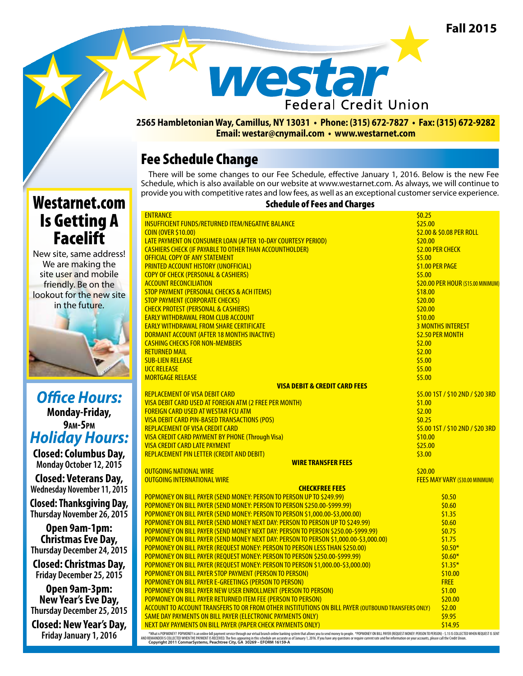**Fall 2015**



#### **2565 Hambletonian Way, Camillus, NY 13031 • Phone: (315) 672-7827 • Fax: (315) 672-9282 Email: westar@cnymail.com • www.westarnet.com**

## Fee Schedule Change

There will be some changes to our Fee Schedule, effective January 1, 2016. Below is the new Fee Schedule, which is also available on our website at www.westarnet.com. As always, we will continue to provide you with competitive rates and low fees, as well as an exceptional customer service experience.

# Westarnet.com Is Getting A **Facelift**

New site, same address! We are making the site user and mobile friendly. Be on the lookout for the new site in the future.

*Office Hours:*  **Monday-Friday, 9am-5pm** *Holiday Hours:*

**Closed: Columbus Day, Monday October 12, 2015** 

**Closed: Veterans Day, Wednesday November 11, 2015**

**Closed: Thanksgiving Day, Thursday November 26, 2015**

**Open 9am-1pm: Christmas Eve Day, Thursday December 24, 2015**

**Closed: Christmas Day, Friday December 25, 2015**

**Open 9am-3pm: New Year's Eve Day, Thursday December 25, 2015**

**Closed: New Year's Day, Friday January 1, 2016**

#### Schedule of Fees and Charges

|                           | <b>ENTRANCE</b>                                                                                    | \$0.25                             |
|---------------------------|----------------------------------------------------------------------------------------------------|------------------------------------|
|                           | <b>INSUFFICIENT FUNDS/RETURNED ITEM/NEGATIVE BALANCE</b>                                           | \$25.00                            |
|                           | <b>COIN (OVER \$10.00)</b>                                                                         | \$2.00 & \$0.08 PER ROLL           |
|                           | LATE PAYMENT ON CONSUMER LOAN (AFTER 10-DAY COURTESY PERIOD)                                       | \$20.00                            |
|                           | <b>CASHIERS CHECK (IF PAYABLE TO OTHER THAN ACCOUNTHOLDER)</b>                                     | <b>\$2.00 PER CHECK</b>            |
|                           | <b>OFFICIAL COPY OF ANY STATEMENT</b>                                                              | \$5.00                             |
|                           | <b>PRINTED ACCOUNT HISTORY (UNOFFICIAL)</b>                                                        | \$1.00 PER PAGE                    |
|                           | <b>COPY OF CHECK (PERSONAL &amp; CASHIERS)</b>                                                     | \$5.00                             |
|                           | <b>ACCOUNT RECONCILIATION</b>                                                                      | \$20.00 PER HOUR (\$15.00 MINIMUM) |
|                           | <b>STOP PAYMENT (PERSONAL CHECKS &amp; ACH ITEMS)</b>                                              | \$18.00                            |
|                           | <b>STOP PAYMENT (CORPORATE CHECKS)</b>                                                             | \$20.00                            |
|                           | <b>CHECK PROTEST (PERSONAL &amp; CASHIERS)</b>                                                     | \$20.00                            |
|                           | <b>EARLY WITHDRAWAL FROM CLUB ACCOUNT</b>                                                          | \$10.00                            |
|                           | <b>EARLY WITHDRAWAL FROM SHARE CERTIFICATE</b>                                                     | <b>3 MONTHS INTEREST</b>           |
|                           | DORMANT ACCOUNT (AFTER 18 MONTHS INACTIVE)                                                         | <b>\$2.50 PER MONTH</b>            |
|                           | <b>CASHING CHECKS FOR NON-MEMBERS</b>                                                              | \$2.00                             |
|                           | <b>RETURNED MAIL</b>                                                                               | \$2.00                             |
|                           | <b>SUB-LIEN RELEASE</b>                                                                            | \$5.00                             |
|                           | <b>UCC RELEASE</b>                                                                                 | \$5.00                             |
|                           | <b>MORTGAGE RELEASE</b>                                                                            | \$5.00                             |
|                           | <b>VISA DEBIT &amp; CREDIT CARD FEES</b>                                                           |                                    |
|                           | <b>REPLACEMENT OF VISA DEBIT CARD</b>                                                              | \$5.00 1ST / \$10 2ND / \$20 3RD   |
|                           | VISA DEBIT CARD USED AT FOREIGN ATM (2 FREE PER MONTH)                                             | \$1.00                             |
|                           | <b>FOREIGN CARD USED AT WESTAR FCU ATM</b>                                                         | \$2.00                             |
|                           | VISA DEBIT CARD PIN-BASED TRANSACTIONS (POS)                                                       | \$0.25                             |
|                           |                                                                                                    |                                    |
|                           | <b>REPLACEMENT OF VISA CREDIT CARD</b>                                                             | \$5.00 1ST / \$10 2ND / \$20 3RD   |
|                           | <b>VISA CREDIT CARD PAYMENT BY PHONE (Through Visa)</b>                                            | \$10.00                            |
|                           | <b>VISA CREDIT CARD LATE PAYMENT</b>                                                               | \$25.00                            |
|                           | REPLACEMENT PIN LETTER (CREDIT AND DEBIT)                                                          | \$3.00                             |
| <b>WIRE TRANSFER FEES</b> |                                                                                                    |                                    |
|                           | <b>OUTGOING NATIONAL WIRE</b>                                                                      | \$20.00                            |
|                           | <b>OUTGOING INTERNATIONAL WIRE</b>                                                                 | FEES MAY VARY (\$30.00 MINIMUM)    |
| <b>CHECKFREE FEES</b>     |                                                                                                    |                                    |
|                           | POPMONEY ON BILL PAYER (SEND MONEY: PERSON TO PERSON UP TO \$249.99)                               | \$0.50                             |
|                           | POPMONEY ON BILL PAYER (SEND MONEY: PERSON TO PERSON \$250.00-\$999.99)                            | \$0.60                             |
|                           | POPMONEY ON BILL PAYER (SEND MONEY: PERSON TO PERSON \$1,000.00-\$3,000.00)                        | \$1.35                             |
|                           | POPMONEY ON BILL PAYER (SEND MONEY NEXT DAY: PERSON TO PERSON UP TO \$249.99)                      | \$0.60                             |
|                           | POPMONEY ON BILL PAYER (SEND MONEY NEXT DAY: PERSON TO PERSON \$250.00-\$999.99)                   | \$0.75                             |
|                           | POPMONEY ON BILL PAYER (SEND MONEY NEXT DAY: PERSON TO PERSON \$1,000.00-\$3,000.00)               | \$1.75                             |
|                           | POPMONEY ON BILL PAYER (REQUEST MONEY: PERSON TO PERSON LESS THAN \$250.00)                        | $$0.50*$                           |
|                           | POPMONEY ON BILL PAYER (REQUEST MONEY: PERSON TO PERSON \$250.00-\$999.99)                         | $$0.60*$                           |
|                           | POPMONEY ON BILL PAYER (REQUEST MONEY: PERSON TO PERSON \$1,000.00-\$3,000.00)                     | $$1.35*$                           |
|                           | POPMONEY ON BILL PAYER STOP PAYMENT (PERSON TO PERSON)                                             | \$10.00                            |
|                           | POPMONEY ON BILL PAYER E-GREETINGS (PERSON TO PERSON)                                              | <b>FREE</b>                        |
|                           | POPMONEY ON BILL PAYER NEW USER ENROLLMENT (PERSON TO PERSON)                                      | \$1.00                             |
|                           | POPMONEY ON BILL PAYER RETURNED ITEM FEE (PERSON TO PERSON)                                        | \$20.00                            |
|                           | ACCOUNT TO ACCOUNT TRANSFERS TO OR FROM OTHER INSTITUTIONS ON BILL PAYER (OUTBOUND TRANSFERS ONLY) | \$2.00                             |
|                           | <b>SAME DAY PAYMENTS ON BILL PAYER (ELECTRONIC PAYMENTS ONLY)</b>                                  | \$9.95                             |
|                           | NEXT DAY PAYMENTS ON BILL PAYER (PAPER CHECK PAYMENTS ONLY)                                        | \$14.95                            |
|                           | L. PRODUCTION OF BUILDING OF SUPPLIES LIGHT                                                        |                                    |

What is POPMONEY POPMONEY is an online bill payment service through our virtual branch online banking system that allows you to send money to people. "POPMONEY ON BILL PAYER (REQUEST MONEY: PERSON TO PERSON 15 J.S IS COLLE